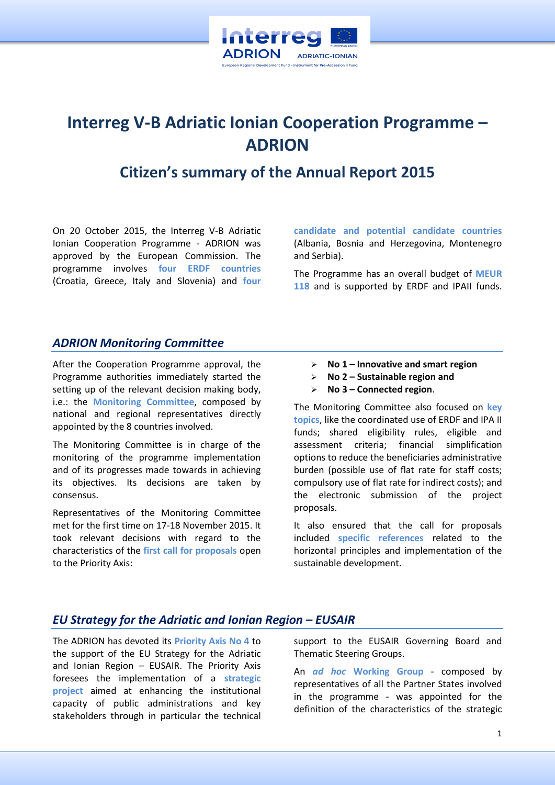

# **Interreg V-B Adriatic Ionian Cooperation Programme – ADRION**

## **Citizen's summary of the Annual Report 2015**

On 20 October 2015, the Interreg V-B Adriatic Ionian Cooperation Programme - ADRION was approved by the European Commission. The programme involves **four ERDF countries** (Croatia, Greece, Italy and Slovenia) and **four** 

**candidate and potential candidate countries** (Albania, Bosnia and Herzegovina, Montenegro and Serbia).

The Programme has an overall budget of **MEUR 118** and is supported by ERDF and IPAII funds.

#### *ADRION Monitoring Committee*

After the Cooperation Programme approval, the Programme authorities immediately started the setting up of the relevant decision making body, i.e.: the **Monitoring Committee**, composed by national and regional representatives directly appointed by the 8 countries involved.

The Monitoring Committee is in charge of the monitoring of the programme implementation and of its progresses made towards in achieving its objectives. Its decisions are taken by consensus.

Representatives of the Monitoring Committee met for the first time on 17-18 November 2015. It took relevant decisions with regard to the characteristics of the **first call for proposals** open to the Priority Axis:

- **No 1 – Innovative and smart region**
- **No 2 – Sustainable region and**
- **No 3 – Connected region**.

The Monitoring Committee also focused on **key topics**, like the coordinated use of ERDF and IPA II funds; shared eligibility rules, eligible and assessment criteria; financial simplification options to reduce the beneficiaries administrative burden (possible use of flat rate for staff costs; compulsory use of flat rate for indirect costs); and the electronic submission of the project proposals.

It also ensured that the call for proposals included **specific references** related to the horizontal principles and implementation of the sustainable development.

#### *EU Strategy for the Adriatic and Ionian Region – EUSAIR*

The ADRION has devoted its **Priority Axis No 4** to the support of the EU Strategy for the Adriatic and Ionian Region – EUSAIR. The Priority Axis foresees the implementation of a **strategic project** aimed at enhancing the institutional capacity of public administrations and key stakeholders through in particular the technical

support to the EUSAIR Governing Board and Thematic Steering Groups.

An *ad hoc* **Working Group** - composed by representatives of all the Partner States involved in the programme - was appointed for the definition of the characteristics of the strategic